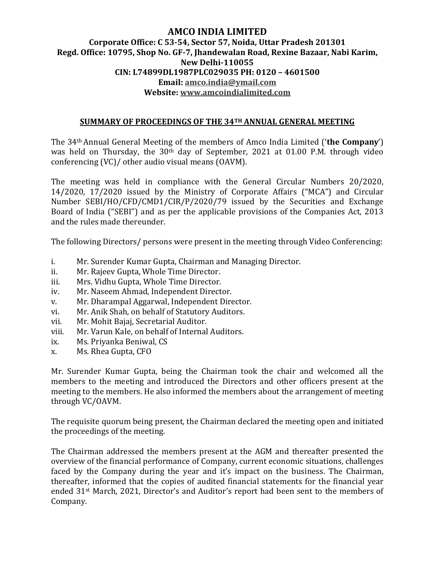## **AMCO INDIA LIMITED Corporate Office: C 53-54, Sector 57, Noida, Uttar Pradesh 201301 Regd. Office: 10795, Shop No. GF-7, Jhandewalan Road, Rexine Bazaar, Nabi Karim, New Delhi-110055 CIN: L74899DL1987PLC029035 PH: 0120 – 4601500 Email: amco.india@ymail.com Website: www.amcoindialimited.com**

#### **SUMMARY OF PROCEEDINGS OF THE 34TH ANNUAL GENERAL MEETING**

The 34th Annual General Meeting of the members of Amco India Limited ('**the Company**') was held on Thursday, the 30<sup>th</sup> day of September, 2021 at 01.00 P.M. through video conferencing (VC)/ other audio visual means (OAVM).

The meeting was held in compliance with the General Circular Numbers 20/2020, 14/2020, 17/2020 issued by the Ministry of Corporate Affairs ("MCA") and Circular Number SEBI/HO/CFD/CMD1/CIR/P/2020/79 issued by the Securities and Exchange Board of India ("SEBI") and as per the applicable provisions of the Companies Act, 2013 and the rules made thereunder.

The following Directors/ persons were present in the meeting through Video Conferencing:

- i. Mr. Surender Kumar Gupta, Chairman and Managing Director.
- ii. Mr. Rajeev Gupta, Whole Time Director.
- iii. Mrs. Vidhu Gupta, Whole Time Director.
- iv. Mr. Naseem Ahmad, Independent Director.
- v. Mr. Dharampal Aggarwal, Independent Director.
- vi. Mr. Anik Shah, on behalf of Statutory Auditors.
- vii. Mr. Mohit Bajaj, Secretarial Auditor.
- viii. Mr. Varun Kale, on behalf of Internal Auditors.
- ix. Ms. Priyanka Beniwal, CS
- x. Ms. Rhea Gupta, CFO

Mr. Surender Kumar Gupta, being the Chairman took the chair and welcomed all the members to the meeting and introduced the Directors and other officers present at the meeting to the members. He also informed the members about the arrangement of meeting through VC/OAVM.

The requisite quorum being present, the Chairman declared the meeting open and initiated the proceedings of the meeting.

The Chairman addressed the members present at the AGM and thereafter presented the overview of the financial performance of Company, current economic situations, challenges faced by the Company during the year and it's impact on the business. The Chairman, thereafter, informed that the copies of audited financial statements for the financial year ended 31st March, 2021, Director's and Auditor's report had been sent to the members of Company.